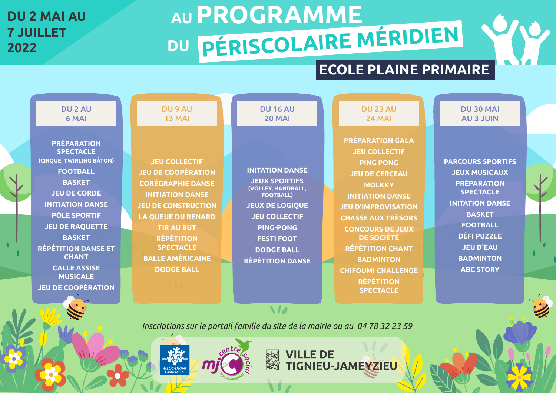## **DU 2 MAI AU 7 JUILLET**

# AU PROGRAMME **<sup>2022</sup> DU PÉRISCOLAIRE MÉRIDIEN**

### **ECOLE PLAINE PRIMAIRE**

#### DU 30 MAI AU 3 JUIN

**PARCOURS SPORTIFS JEUX MUSICAUX PRÉPARATION SPECTACLE INITATION DANSE BASKET FOOTBALL DÉFI PUZZLE JEU D'EAU BADMINTON ABC STORY**



| <b>DU2AU</b>              | <b>DU 9 AU</b>             | <b>DU 16 AU</b>                        | <b>DU 23 AU</b>            |
|---------------------------|----------------------------|----------------------------------------|----------------------------|
| 6 MAI                     | 13 MAI                     | <b>20 MAI</b>                          | <b>24 MAI</b>              |
|                           |                            |                                        |                            |
| <b>PRÉPARATION</b>        |                            |                                        | <b>PRÉPARATION GALA</b>    |
| <b>SPECTACLE</b>          |                            |                                        | <b>JEU COLLECTIF</b>       |
| (CIRQUE, TWIRLING BÂTON)  | <b>JEU COLLECTIF</b>       |                                        | <b>PING PONG</b>           |
| <b>FOOTBALL</b>           | <b>JEU DE COOPÉRATION</b>  | <b>INITATION DANSE</b>                 | <b>JEU DE CERCEAU</b>      |
| <b>BASKET</b>             | <b>CORÉGRAPHIE DANSE</b>   | <b>JEUX SPORTIFS</b>                   | <b>MOLKKY</b>              |
| <b>JEU DE CORDE</b>       | <b>INITIATION DANSE</b>    | (VOLLEY, HANDBALL,<br><b>FOOTBALL)</b> | <b>INITIATION DANSE</b>    |
| <b>INITIATION DANSE</b>   | <b>JEU DE CONSTRUCTION</b> | <b>JEUX DE LOGIQUE</b>                 | <b>JEU D'IMPROVISATION</b> |
| <b>PÔLE SPORTIF</b>       | <b>LA QUEUE DU RENARD</b>  | <b>JEU COLLECTIF</b>                   | <b>CHASSE AUX TRÉSORS</b>  |
| <b>JEU DE RAQUETTE</b>    | <b>TIR AU BUT</b>          | <b>PING-PONG</b>                       | <b>CONCOURS DE JEUX</b>    |
| <b>BASKET</b>             | <b>RÉPÉTITION</b>          | <b>FESTI FOOT</b>                      | <b>DE SOCIÉTÉ</b>          |
| RÉPÉTITION DANSE ET       | <b>SPECTACLE</b>           | <b>DODGE BALL</b>                      | <b>RÉPÉTITION CHANT</b>    |
| <b>CHANT</b>              | <b>BALLE AMÉRICAINE</b>    | <b>RÉPÉTITION DANSE</b>                | <b>BADMINTON</b>           |
| <b>CALLE ASSISE</b>       | <b>DODGE BALL</b>          |                                        | <b>CHIFOUMI CHALLENGE</b>  |
| <b>MUSICALE</b>           |                            |                                        | <b>RÉPÉTITION</b>          |
| <b>JEU DE COOPÉRATION</b> |                            |                                        | <b>SPECTACLE</b>           |
|                           |                            |                                        |                            |

*Inscriptions sur le portail famille du site de la mairie ou au 04 78 32 23 59*

美人

A

**VILLE DE** 

TIGNIEU-JAMEYZIEU

M